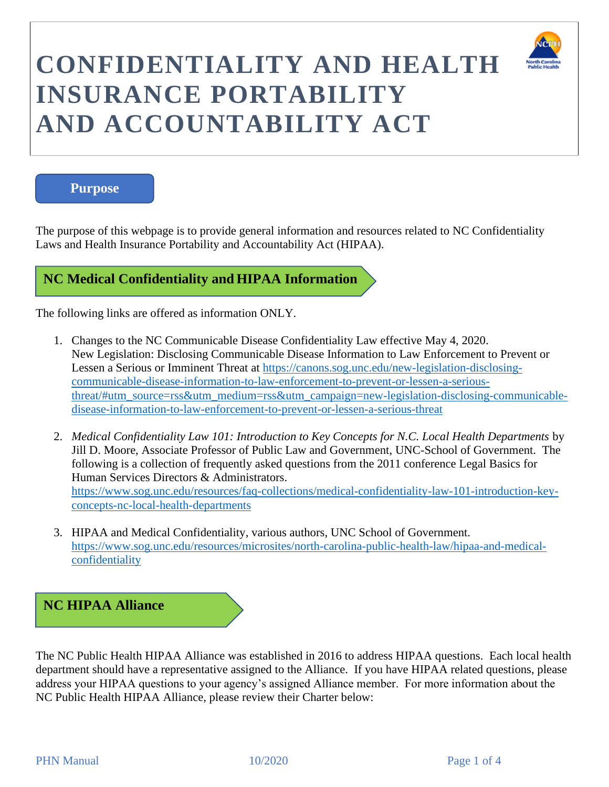

# **Purpose**

The purpose of this webpage is to provide general information and resources related to NC Confidentiality Laws and Health Insurance Portability and Accountability Act (HIPAA).

# **NC Medical Confidentiality and HIPAA Information**

The following links are offered as information ONLY.

- 1. Changes to the NC Communicable Disease Confidentiality Law effective May 4, 2020. New Legislation: Disclosing Communicable Disease Information to Law Enforcement to Prevent or Lessen a Serious or Imminent Threat at [https://canons.sog.unc.edu/new-legislation-disclosing](https://canons.sog.unc.edu/new-legislation-disclosing-communicable-disease-information-to-law-enforcement-to-prevent-or-lessen-a-serious-threat/#utm_source=rss&utm_medium=rss&utm_campaign=new-legislation-disclosing-communicable-disease-information-to-law-enforcement-to-prevent-or-lessen-a-serious-threat)[communicable-disease-information-to-law-enforcement-to-prevent-or-lessen-a-serious](https://canons.sog.unc.edu/new-legislation-disclosing-communicable-disease-information-to-law-enforcement-to-prevent-or-lessen-a-serious-threat/#utm_source=rss&utm_medium=rss&utm_campaign=new-legislation-disclosing-communicable-disease-information-to-law-enforcement-to-prevent-or-lessen-a-serious-threat)[threat/#utm\\_source=rss&utm\\_medium=rss&utm\\_campaign=new-legislation-disclosing-communicable](https://canons.sog.unc.edu/new-legislation-disclosing-communicable-disease-information-to-law-enforcement-to-prevent-or-lessen-a-serious-threat/#utm_source=rss&utm_medium=rss&utm_campaign=new-legislation-disclosing-communicable-disease-information-to-law-enforcement-to-prevent-or-lessen-a-serious-threat)[disease-information-to-law-enforcement-to-prevent-or-lessen-a-serious-threat](https://canons.sog.unc.edu/new-legislation-disclosing-communicable-disease-information-to-law-enforcement-to-prevent-or-lessen-a-serious-threat/#utm_source=rss&utm_medium=rss&utm_campaign=new-legislation-disclosing-communicable-disease-information-to-law-enforcement-to-prevent-or-lessen-a-serious-threat)
- 2. *Medical Confidentiality Law 101: Introduction to Key Concepts for N.C. Local Health Departments* by Jill D. Moore, Associate Professor of Public Law and Government, UNC-School of Government. The following is a collection of frequently asked questions from the 2011 conference Legal Basics for Human Services Directors & Administrators. [https://www.sog.unc.edu/resources/faq-collections/medical-confidentiality-law-101-introduction-key](https://www.sog.unc.edu/resources/faq-collections/medical-confidentiality-law-101-introduction-key-concepts-nc-local-health-departments)[concepts-nc-local-health-departments](https://www.sog.unc.edu/resources/faq-collections/medical-confidentiality-law-101-introduction-key-concepts-nc-local-health-departments)
- 3. HIPAA and Medical Confidentiality, various authors, UNC School of Government. [https://www.sog.unc.edu/resources/microsites/north-carolina-public-health-law/hipaa-and-medical](https://www.sog.unc.edu/resources/microsites/north-carolina-public-health-law/hipaa-and-medical-confidentiality)[confidentiality](https://www.sog.unc.edu/resources/microsites/north-carolina-public-health-law/hipaa-and-medical-confidentiality)

# **NC HIPAA Alliance**

The NC Public Health HIPAA Alliance was established in 2016 to address HIPAA questions. Each local health department should have a representative assigned to the Alliance. If you have HIPAA related questions, please address your HIPAA questions to your agency's assigned Alliance member. For more information about the NC Public Health HIPAA Alliance, please review their Charter below: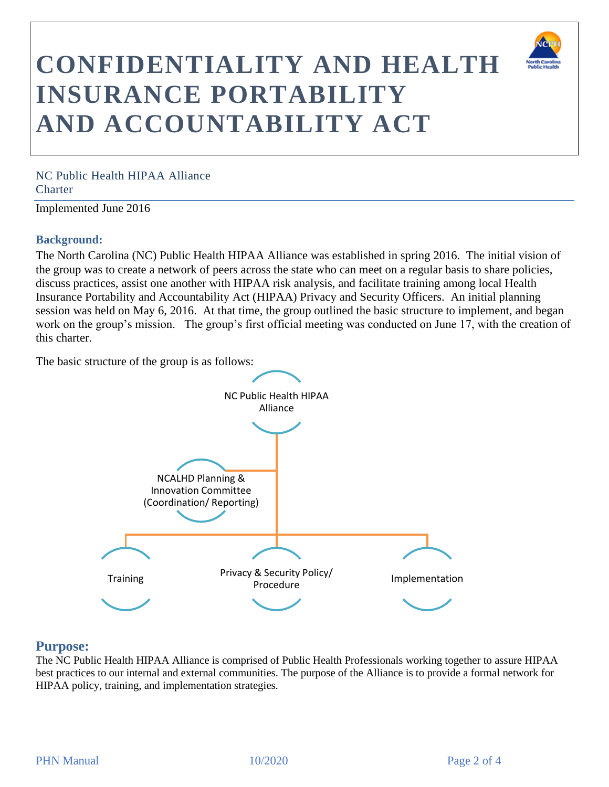

NC Public Health HIPAA Alliance **Charter** 

Implemented June 2016

## **Background:**

The North Carolina (NC) Public Health HIPAA Alliance was established in spring 2016. The initial vision of the group was to create a network of peers across the state who can meet on a regular basis to share policies, discuss practices, assist one another with HIPAA risk analysis, and facilitate training among local Health Insurance Portability and Accountability Act (HIPAA) Privacy and Security Officers. An initial planning session was held on May 6, 2016. At that time, the group outlined the basic structure to implement, and began work on the group's mission. The group's first official meeting was conducted on June 17, with the creation of this charter.

The basic structure of the group is as follows:



# **Purpose:**

The NC Public Health HIPAA Alliance is comprised of Public Health Professionals working together to assure HIPAA best practices to our internal and external communities. The purpose of the Alliance is to provide a formal network for HIPAA policy, training, and implementation strategies.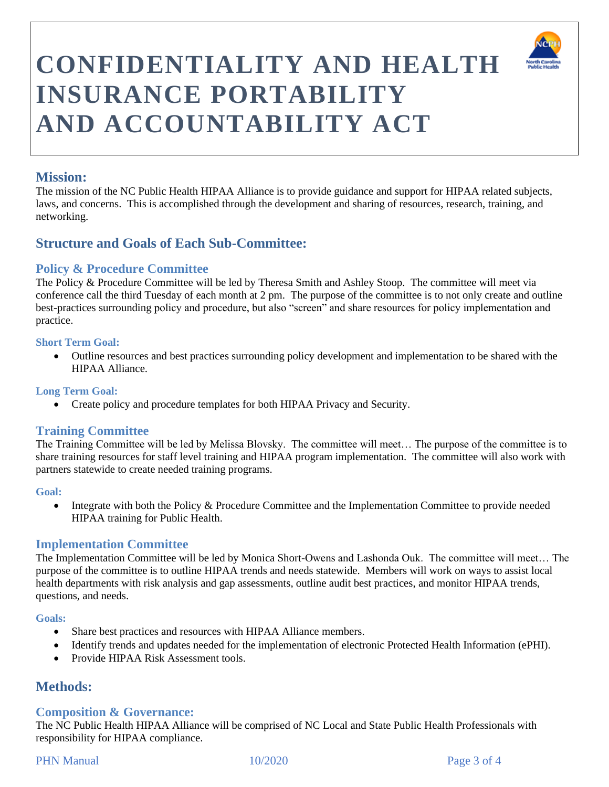

# **Mission:**

The mission of the NC Public Health HIPAA Alliance is to provide guidance and support for HIPAA related subjects, laws, and concerns. This is accomplished through the development and sharing of resources, research, training, and networking.

# **Structure and Goals of Each Sub-Committee:**

# **Policy & Procedure Committee**

The Policy & Procedure Committee will be led by Theresa Smith and Ashley Stoop. The committee will meet via conference call the third Tuesday of each month at 2 pm. The purpose of the committee is to not only create and outline best-practices surrounding policy and procedure, but also "screen" and share resources for policy implementation and practice.

#### **Short Term Goal:**

• Outline resources and best practices surrounding policy development and implementation to be shared with the HIPAA Alliance.

#### **Long Term Goal:**

• Create policy and procedure templates for both HIPAA Privacy and Security.

# **Training Committee**

The Training Committee will be led by Melissa Blovsky. The committee will meet… The purpose of the committee is to share training resources for staff level training and HIPAA program implementation. The committee will also work with partners statewide to create needed training programs.

#### **Goal:**

• Integrate with both the Policy & Procedure Committee and the Implementation Committee to provide needed HIPAA training for Public Health.

## **Implementation Committee**

The Implementation Committee will be led by Monica Short-Owens and Lashonda Ouk. The committee will meet… The purpose of the committee is to outline HIPAA trends and needs statewide. Members will work on ways to assist local health departments with risk analysis and gap assessments, outline audit best practices, and monitor HIPAA trends, questions, and needs.

#### **Goals:**

- Share best practices and resources with HIPAA Alliance members.
- Identify trends and updates needed for the implementation of electronic Protected Health Information (ePHI).
- Provide HIPAA Risk Assessment tools.

# **Methods:**

# **Composition & Governance:**

The NC Public Health HIPAA Alliance will be comprised of NC Local and State Public Health Professionals with responsibility for HIPAA compliance.

## PHN Manual 2012/020 Page 3 of 4